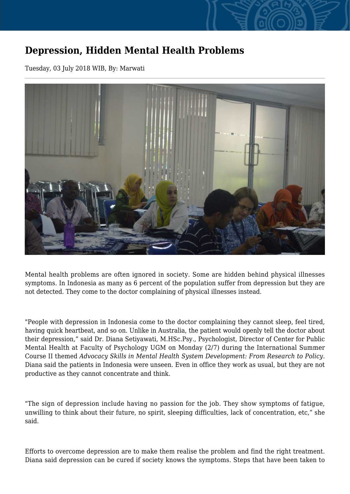## **Depression, Hidden Mental Health Problems**

Tuesday, 03 July 2018 WIB, By: Marwati



Mental health problems are often ignored in society. Some are hidden behind physical illnesses symptoms. In Indonesia as many as 6 percent of the population suffer from depression but they are not detected. They come to the doctor complaining of physical illnesses instead.

"People with depression in Indonesia come to the doctor complaining they cannot sleep, feel tired, having quick heartbeat, and so on. Unlike in Australia, the patient would openly tell the doctor about their depression," said Dr. Diana Setiyawati, M.HSc.Psy., Psychologist, Director of Center for Public Mental Health at Faculty of Psychology UGM on Monday (2/7) during the International Summer Course II themed *Advocacy Skills in Mental Health System Development: From Research to Policy*. Diana said the patients in Indonesia were unseen. Even in office they work as usual, but they are not productive as they cannot concentrate and think.

"The sign of depression include having no passion for the job. They show symptoms of fatigue, unwilling to think about their future, no spirit, sleeping difficulties, lack of concentration, etc," she said.

Efforts to overcome depression are to make them realise the problem and find the right treatment. Diana said depression can be cured if society knows the symptoms. Steps that have been taken to